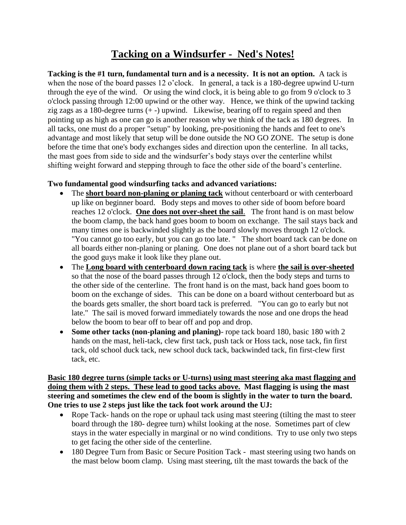## **Tacking on a Windsurfer - Ned's Notes!**

**Tacking is the #1 turn, fundamental turn and is a necessity. It is not an option.** A tack is when the nose of the board passes 12 o'clock. In general, a tack is a 180-degree upwind U-turn through the eye of the wind. Or using the wind clock, it is being able to go from 9 o'clock to 3 o'clock passing through 12:00 upwind or the other way. Hence, we think of the upwind tacking zig zags as a 180-degree turns  $(+)$  upwind. Likewise, bearing off to regain speed and then pointing up as high as one can go is another reason why we think of the tack as 180 degrees. In all tacks, one must do a proper "setup" by looking, pre-positioning the hands and feet to one's advantage and most likely that setup will be done outside the NO GO ZONE. The setup is done before the time that one's body exchanges sides and direction upon the centerline. In all tacks, the mast goes from side to side and the windsurfer's body stays over the centerline whilst shifting weight forward and stepping through to face the other side of the board's centerline.

## **Two fundamental good windsurfing tacks and advanced variations:**

- The **short board non-planing or planing tack** without centerboard or with centerboard up like on beginner board. Body steps and moves to other side of boom before board reaches 12 o'clock. **One does not over-sheet the sail**. The front hand is on mast below the boom clamp, the back hand goes boom to boom on exchange. The sail stays back and many times one is backwinded slightly as the board slowly moves through 12 o'clock. "You cannot go too early, but you can go too late. " The short board tack can be done on all boards either non-planing or planing. One does not plane out of a short board tack but the good guys make it look like they plane out.
- The **Long board with centerboard down racing tack** is where **the sail is over-sheeted** so that the nose of the board passes through 12 o'clock, then the body steps and turns to the other side of the centerline. The front hand is on the mast, back hand goes boom to boom on the exchange of sides. This can be done on a board without centerboard but as the boards gets smaller, the short board tack is preferred. "You can go to early but not late." The sail is moved forward immediately towards the nose and one drops the head below the boom to bear off to bear off and pop and drop.
- **Some other tacks (non-planing and planing)** rope tack board 180, basic 180 with 2 hands on the mast, heli-tack, clew first tack, push tack or Hoss tack, nose tack, fin first tack, old school duck tack, new school duck tack, backwinded tack, fin first-clew first tack, etc.

**Basic 180 degree turns (simple tacks or U-turns) using mast steering aka mast flagging and doing them with 2 steps. These lead to good tacks above. Mast flagging is using the mast steering and sometimes the clew end of the boom is slightly in the water to turn the board. One tries to use 2 steps just like the tack foot work around the UJ:**

- Rope Tack- hands on the rope or uphaul tack using mast steering (tilting the mast to steer board through the 180- degree turn) whilst looking at the nose. Sometimes part of clew stays in the water especially in marginal or no wind conditions. Try to use only two steps to get facing the other side of the centerline.
- 180 Degree Turn from Basic or Secure Position Tack mast steering using two hands on the mast below boom clamp. Using mast steering, tilt the mast towards the back of the